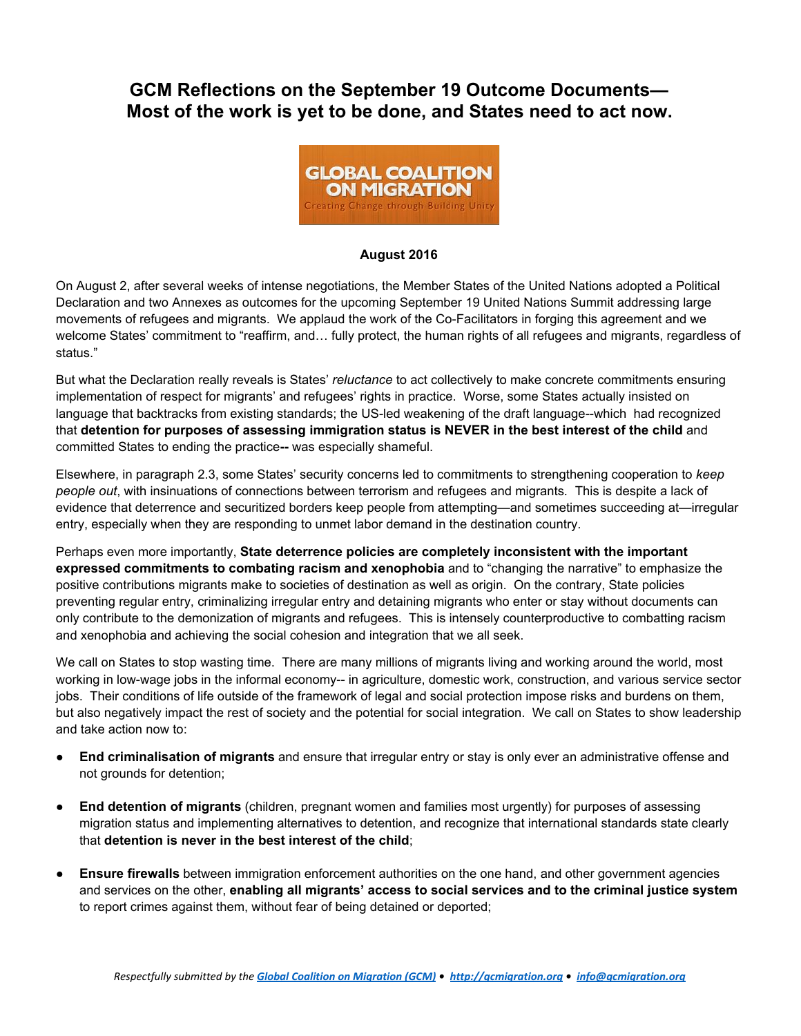## **GCM Reflections on the September 19 Outcome Documents— Most of the work is yet to be done, and States need to act now.**



## **August 2016**

On August 2, after several weeks of intense negotiations, the Member States of the United Nations adopted a Political Declaration and two Annexes as outcomes for the upcoming September 19 United Nations Summit addressing large movements of refugees and migrants. We applaud the work of the Co-Facilitators in forging this agreement and we welcome States' commitment to "reaffirm, and… fully protect, the human rights of all refugees and migrants, regardless of status."

But what the Declaration really reveals is States' *reluctance* to act collectively to make concrete commitments ensuring implementation of respect for migrants' and refugees' rights in practice. Worse, some States actually insisted on language that backtracks from existing standards; the US-led weakening of the draft language--which had recognized that **detention for purposes of assessing immigration status is NEVER in the best interest of the child** and committed States to ending the practice-- was especially shameful.

Elsewhere, in paragraph 2.3, some States' security concerns led to commitments to strengthening cooperation to *keep people out*, with insinuations of connections between terrorism and refugees and migrants*.* This is despite a lack of evidence that deterrence and securitized borders keep people from attempting—and sometimes succeeding at—irregular entry, especially when they are responding to unmet labor demand in the destination country.

Perhaps even more importantly, **State deterrence policies are completely inconsistent with the important expressed commitments to combating racism and xenophobia** and to "changing the narrative" to emphasize the positive contributions migrants make to societies of destination as well as origin. On the contrary, State policies preventing regular entry, criminalizing irregular entry and detaining migrants who enter or stay without documents can only contribute to the demonization of migrants and refugees. This is intensely counterproductive to combatting racism and xenophobia and achieving the social cohesion and integration that we all seek.

We call on States to stop wasting time. There are many millions of migrants living and working around the world, most working in low-wage jobs in the informal economy-- in agriculture, domestic work, construction, and various service sector jobs. Their conditions of life outside of the framework of legal and social protection impose risks and burdens on them, but also negatively impact the rest of society and the potential for social integration. We call on States to show leadership and take action now to:

- **End criminalisation of migrants** and ensure that irregular entry or stay is only ever an administrative offense and not grounds for detention;
- **End detention of migrants** (children, pregnant women and families most urgently) for purposes of assessing migration status and implementing alternatives to detention, and recognize that international standards state clearly that **detention is never in the best interest of the child**;
- **Ensure firewalls** between immigration enforcement authorities on the one hand, and other government agencies and services on the other, **enabling all migrants' access to social services and to the criminal justice system** to report crimes against them, without fear of being detained or deported;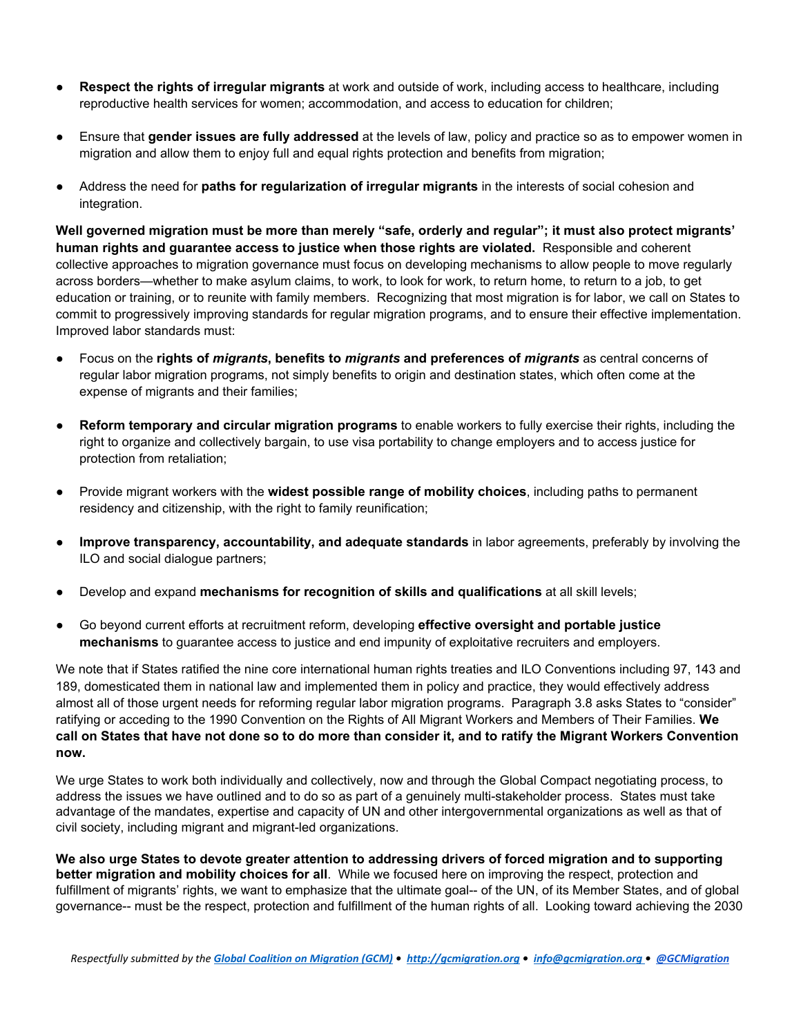- **Respect the rights of irregular migrants** at work and outside of work, including access to healthcare, including reproductive health services for women; accommodation, and access to education for children;
- Ensure that **gender issues are fully addressed** at the levels of law, policy and practice so as to empower women in migration and allow them to enjoy full and equal rights protection and benefits from migration;
- Address the need for **paths for regularization of irregular migrants** in the interests of social cohesion and integration.

**Well governed migration must be more than merely "safe, orderly and regular"; it must also protect migrants' human rights and guarantee access to justice when those rights are violated.** Responsible and coherent collective approaches to migration governance must focus on developing mechanisms to allow people to move regularly across borders—whether to make asylum claims, to work, to look for work, to return home, to return to a job, to get education or training, or to reunite with family members. Recognizing that most migration is for labor, we call on States to commit to progressively improving standards for regular migration programs, and to ensure their effective implementation. Improved labor standards must:

- ● Focus on the **rights of** *migran ts***, benefits to** *migrants* **and preferences of** *migrants* as central concerns of regular labor migration programs, not simply benefits to origin and destination states, which often come at the expense of migrants and their families;
- **Reform temporary and circular migration programs** to enable workers to fully exercise their rights, including the right to organize and collectively bargain, to use visa portability to change employers and to access justice for protection from retaliation;
- Provide migrant workers with the **widest possible range of mobility choices**, including paths to permanent residency and citizenship, with the right to family reunification;
- **Improve transparency, accountability, and adequate standards** in labor agreements, preferably by involving the ILO and social dialogue partners;
- Develop and expand **mechanisms for recognition of skills and qualifications** at all skill levels;
- Go beyond current efforts at recruitment reform, developing **effective oversight and portable justice mechanisms** to guarantee access to justice and end impunity of exploitative recruiters and employers.

We note that if States ratified the nine core international human rights treaties and ILO Conventions including 97, 143 and 189, domesticated them in national law and implemented them in policy and practice, they would effectively address almost all of those urgent needs for reforming regular labor migration programs. Paragraph 3.8 asks States to "consider" ratifying or acceding to the 1990 Convention on the Rights of All Migrant Workers and Members of Their Families. **We call on States that have not done so to do more than consider it, and to ratify the Migrant Workers Convention now.**

We urge States to work both individually and collectively, now and through the Global Compact negotiating process, to address the issues we have outlined and to do so as part of a genuinely multi-stakeholder process. States must take advantage of the mandates, expertise and capacity of UN and other intergovernmental organizations as well as that of civil society, including migrant and migrant-led organizations.

**We also urge States to devote greater attention to addressing drivers of forced migration and to supporting better migration and mobility choices for all**. While we focused here on improving the respect, protection and fulfillment of migrants' rights, we want to emphasize that the ultimate goal-- of the UN, of its Member States, and of global governance-- must be the respect, protection and fulfillment of the human rights of all. Looking toward achieving the 2030